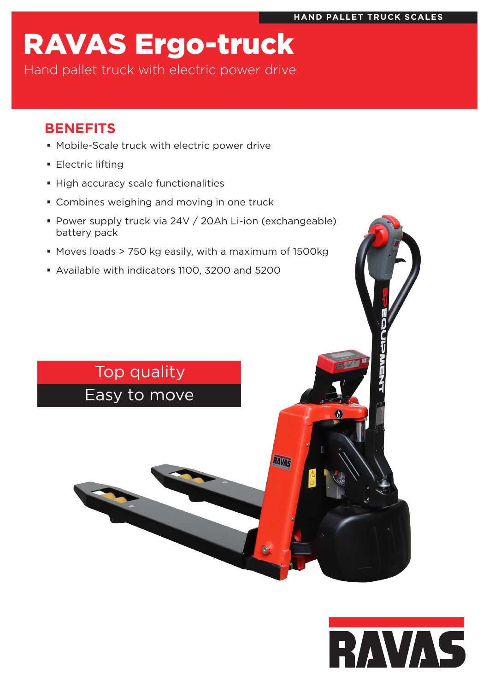# RAVAS Ergo-truck

Hand pallet truck with electric power drive

# **BENEFITS**

- Mobile-Scale truck with electric power drive
- **Electric lifting**
- **High accuracy scale functionalities**
- **Combines weighing and moving in one truck**
- Power supply truck via 24V / 20Ah Li-ion (exchangeable) battery pack
- Moves loads > 750 kg easily, with a maximum of 1500kg
- Available with indicators 1100, 3200 and 5200